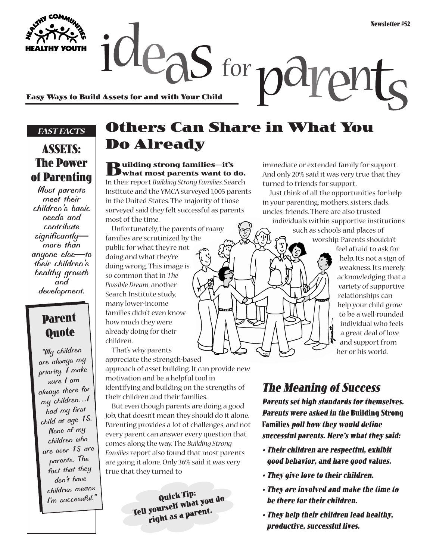EASTARY YOUTH **ILLEAS** for **point** 

#### *FAST FACTS*

### **ASSETS: The Power of Parenting**

*Most parents meet their children's basic needs and contribute significantly more than anyone else—to their children's healthy growth and development.*

### **Parent Quote**

*"My children are always my priority. I make sure I am always there for my children…<sup>I</sup> had my first child at age 15. None of my children who are over 15 are parents. The fact that they don't have children means I'm successful."*

## **Others Can Share in What You Do Already**

**Building strong families—it's what most parents want to do.**

In their report *Building Strong Families,* Search Institute and the YMCA surveyed 1,005 parents in the United States. The majority of those surveyed said they felt successful as parents most of the time.

Unfortunately, the parents of many families are scrutinized by the public for what they're not doing and what they're doing wrong. This image is so common that in *The Possible Dream*, another Search Institute study, many lower-income families didn't even know how much they were already doing for their children.

That's why parents

appreciate the strength-based approach of asset building. It can provide new motivation and be a helpful tool in identifying and building on the strengths of their children and their families.

But even though parents are doing a good job, that doesn't mean they should do it alone. Parenting provides a lot of challenges, and not every parent can answer every question that comes along the way. The *Building Strong Families* report also found that most parents are going it alone. Only 36% said it was very true that they turned to

> **Quick Tip: Tell yourself what you do right as a parent.**

immediate or extended family for support. And only 20% said it was very true that they turned to friends for support.

ph

Just think of all the opportunities for help in your parenting: mothers, sisters, dads, uncles, friends. There are also trusted

individuals within supportive institutions such as schools and places of worship. Parents shouldn't

feel afraid to ask for help. It's not a sign of weakness. It's merely acknowledging that a variety of supportive relationships can help your child grow to be a well-rounded individual who feels a great deal of love and support from

her or his world.

#### **The Meaning of Success**

**Parents set high standards for themselves. Parents were asked in the Building Strong Families poll how they would define successful parents. Here's what they said:** 

- **Their children are respectful, exhibit good behavior, and have good values.**
- **They give love to their children.**
- **They are involved and make the time to be there for their children.**
- **They help their children lead healthy, productive, successful lives.**